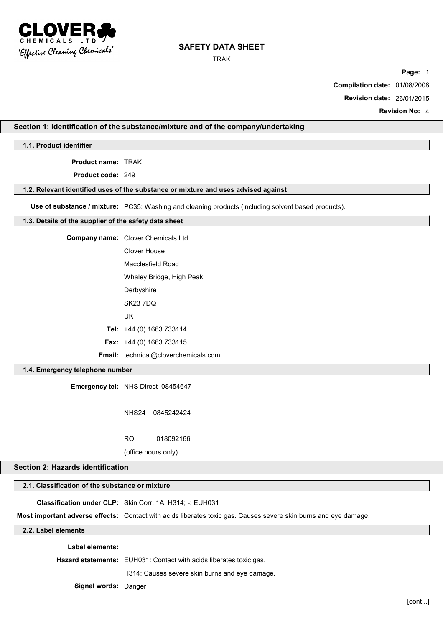

TRAK

**Page:** 1

**Compilation date:** 01/08/2008

**Revision date:** 26/01/2015

**Revision No:** 4

## **Section 1: Identification of the substance/mixture and of the company/undertaking**

**1.1. Product identifier**

**Product name:** TRAK

**Product code:** 249

### **1.2. Relevant identified uses of the substance or mixture and uses advised against**

**Use of substance / mixture:** PC35: Washing and cleaning products (including solvent based products).

## **1.3. Details of the supplier of the safety data sheet**

| <b>Company name:</b> Clover Chemicals Ltd   |
|---------------------------------------------|
| Clover House                                |
| Macclesfield Road                           |
| Whaley Bridge, High Peak                    |
| Derbyshire                                  |
| <b>SK23 7DO</b>                             |
| UK                                          |
| Tel: $+44$ (0) 1663 733114                  |
| <b>Fax:</b> $+44$ (0) 1663 733115           |
| <b>Email:</b> technical@cloverchemicals.com |

## **1.4. Emergency telephone number**

**Emergency tel:** NHS Direct 08454647

NHS24 0845242424

ROI 018092166

(office hours only)

# **Section 2: Hazards identification**

# **2.1. Classification of the substance or mixture**

**Classification under CLP:** Skin Corr. 1A: H314; -: EUH031

**Most important adverse effects:** Contact with acids liberates toxic gas. Causes severe skin burns and eye damage.

**2.2. Label elements**

**Label elements:**

**Hazard statements:** EUH031: Contact with acids liberates toxic gas.

H314: Causes severe skin burns and eye damage.

**Signal words:** Danger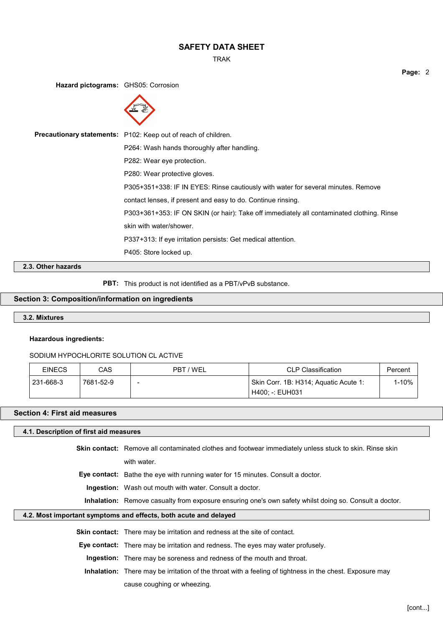TRAK

**Page:** 2

**Hazard pictograms:** GHS05: Corrosion



**Precautionary statements:** P102: Keep out of reach of children. P264: Wash hands thoroughly after handling. P282: Wear eye protection. P280: Wear protective gloves. P305+351+338: IF IN EYES: Rinse cautiously with water for several minutes. Remove contact lenses, if present and easy to do. Continue rinsing. P303+361+353: IF ON SKIN (or hair): Take off immediately all contaminated clothing. Rinse skin with water/shower. P337+313: If eye irritation persists: Get medical attention. P405: Store locked up.

**2.3. Other hazards**

**PBT:** This product is not identified as a PBT/vPvB substance.

## **Section 3: Composition/information on ingredients**

#### **3.2. Mixtures**

### **Hazardous ingredients:**

### SODIUM HYPOCHLORITE SOLUTION CL ACTIVE

| <b>EINECS</b> | CAS       | PBT/WEL | <b>CLP Classification</b>                                | Percent |
|---------------|-----------|---------|----------------------------------------------------------|---------|
| 231-668-3     | 7681-52-9 | -       | Skin Corr. 1B: H314; Aguatic Acute 1:<br>H400: -: EUH031 | 1-10%   |

### **Section 4: First aid measures**

### **4.1. Description of first aid measures**

**Skin contact:** Remove all contaminated clothes and footwear immediately unless stuck to skin. Rinse skin with water.

**Eye contact:** Bathe the eye with running water for 15 minutes. Consult a doctor.

**Ingestion:** Wash out mouth with water. Consult a doctor.

**Inhalation:** Remove casualty from exposure ensuring one's own safety whilst doing so. Consult a doctor.

### **4.2. Most important symptoms and effects, both acute and delayed**

**Skin contact:** There may be irritation and redness at the site of contact.

**Eye contact:** There may be irritation and redness. The eyes may water profusely.

**Ingestion:** There may be soreness and redness of the mouth and throat.

**Inhalation:** There may be irritation of the throat with a feeling of tightness in the chest. Exposure may cause coughing or wheezing.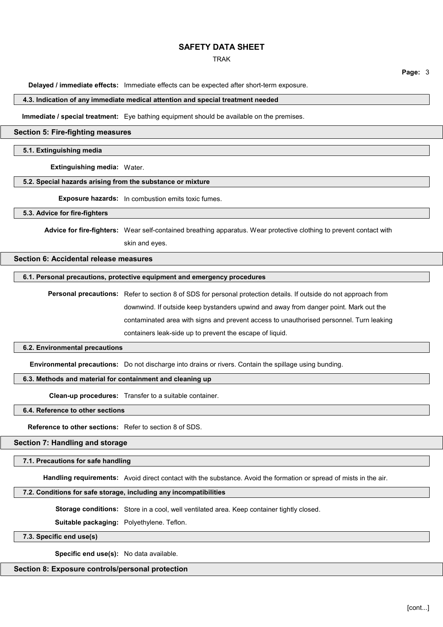### TRAK

**Page:** 3

**Delayed / immediate effects:** Immediate effects can be expected after short-term exposure.

#### **4.3. Indication of any immediate medical attention and special treatment needed**

**Immediate / special treatment:** Eye bathing equipment should be available on the premises.

### **Section 5: Fire-fighting measures**

## **5.1. Extinguishing media**

**Extinguishing media:** Water.

### **5.2. Special hazards arising from the substance or mixture**

**Exposure hazards:** In combustion emits toxic fumes.

### **5.3. Advice for fire-fighters**

**Advice for fire-fighters:** Wear self-contained breathing apparatus. Wear protective clothing to prevent contact with skin and eyes.

# **Section 6: Accidental release measures**

## **6.1. Personal precautions, protective equipment and emergency procedures**

**Personal precautions:** Refer to section 8 of SDS for personal protection details. If outside do not approach from downwind. If outside keep bystanders upwind and away from danger point. Mark out the contaminated area with signs and prevent access to unauthorised personnel. Turn leaking containers leak-side up to prevent the escape of liquid.

### **6.2. Environmental precautions**

**Environmental precautions:** Do not discharge into drains or rivers. Contain the spillage using bunding.

## **6.3. Methods and material for containment and cleaning up**

**Clean-up procedures:** Transfer to a suitable container.

**6.4. Reference to other sections**

**Reference to other sections:** Refer to section 8 of SDS.

# **Section 7: Handling and storage**

#### **7.1. Precautions for safe handling**

**Handling requirements:** Avoid direct contact with the substance. Avoid the formation or spread of mists in the air.

## **7.2. Conditions for safe storage, including any incompatibilities**

**Storage conditions:** Store in a cool, well ventilated area. Keep container tightly closed.

**Suitable packaging:** Polyethylene. Teflon.

**7.3. Specific end use(s)**

**Specific end use(s):** No data available.

## **Section 8: Exposure controls/personal protection**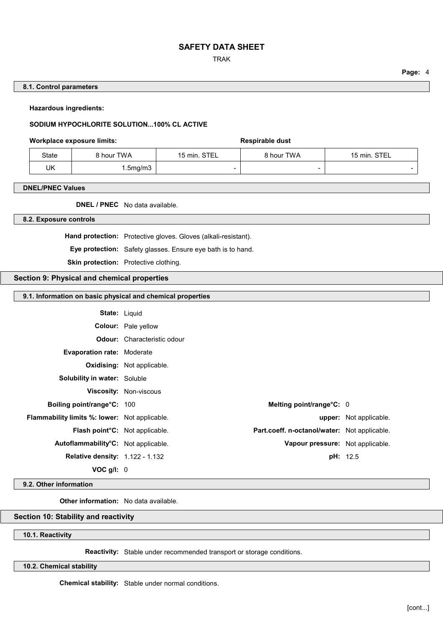## TRAK

## **Page:** 4

### **8.1. Control parameters**

**Hazardous ingredients:**

## **SODIUM HYPOCHLORITE SOLUTION...100% CL ACTIVE**

## Workplace exposure limits: **Workplace exposure limits:** Respirable dust

| State | 8 hour TWA | STEI<br>$15 \text{ min}$ . | 8 hour TWA | STEL<br>$15 \text{ min}$ . |
|-------|------------|----------------------------|------------|----------------------------|
| UK    | 5mg/m3 .   |                            | -          |                            |

### **DNEL/PNEC Values**

**DNEL / PNEC** No data available.

**8.2. Exposure controls**

**Hand protection:** Protective gloves. Gloves (alkali-resistant).

**Eye protection:** Safety glasses. Ensure eye bath is to hand.

**Skin protection:** Protective clothing.

# **Section 9: Physical and chemical properties**

### **9.1. Information on basic physical and chemical properties**

|                                                      | <b>State: Liquid</b>                         |                        |
|------------------------------------------------------|----------------------------------------------|------------------------|
|                                                      | <b>Colour:</b> Pale yellow                   |                        |
|                                                      | <b>Odour:</b> Characteristic odour           |                        |
| <b>Evaporation rate: Moderate</b>                    |                                              |                        |
|                                                      | <b>Oxidising:</b> Not applicable.            |                        |
| <b>Solubility in water: Soluble</b>                  |                                              |                        |
|                                                      | <b>Viscosity: Non-viscous</b>                |                        |
| <b>Boiling point/range°C: 100</b>                    | Melting point/range°C: 0                     |                        |
| <b>Flammability limits %: lower:</b> Not applicable. |                                              | upper: Not applicable. |
| Flash point <sup>o</sup> C: Not applicable.          | Part.coeff. n-octanol/water: Not applicable. |                        |
| Autoflammability <sup>°</sup> C: Not applicable.     | Vapour pressure: Not applicable.             |                        |
| <b>Relative density: 1.122 - 1.132</b>               |                                              | <b>pH:</b> 12.5        |
| $VOC$ a/l: $0$                                       |                                              |                        |

### **9.2. Other information**

**Other information:** No data available.

# **Section 10: Stability and reactivity**

**10.1. Reactivity**

**Reactivity:** Stable under recommended transport or storage conditions.

**10.2. Chemical stability**

**Chemical stability:** Stable under normal conditions.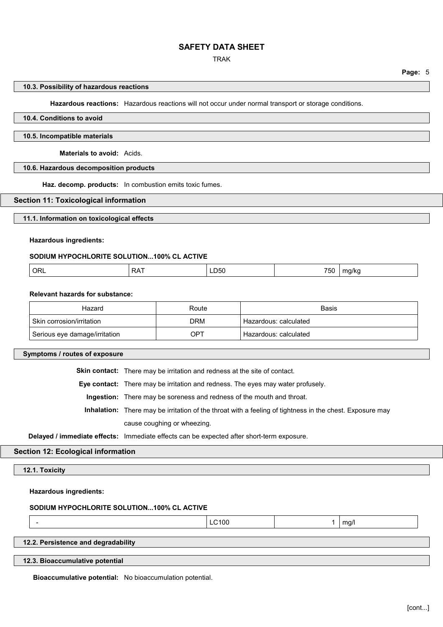### TRAK

#### **10.3. Possibility of hazardous reactions**

**Hazardous reactions:** Hazardous reactions will not occur under normal transport or storage conditions.

# **10.4. Conditions to avoid**

### **10.5. Incompatible materials**

**Materials to avoid:** Acids.

## **10.6. Hazardous decomposition products**

**Haz. decomp. products:** In combustion emits toxic fumes.

### **Section 11: Toxicological information**

#### **11.1. Information on toxicological effects**

### **Hazardous ingredients:**

# **SODIUM HYPOCHLORITE SOLUTION...100% CL ACTIVE**

| $- - -$<br>ORL<br>、 <i>r c</i><br>. .<br>^^<br>'5U<br>⊥⊔ວ∪<br>(1/K)<br>$\mathbf{v}$<br>___<br>$ -$ |  |
|----------------------------------------------------------------------------------------------------|--|
|----------------------------------------------------------------------------------------------------|--|

### **Relevant hazards for substance:**

| Hazard                        | Route | <b>Basis</b>          |
|-------------------------------|-------|-----------------------|
| Skin corrosion/irritation     | DRM   | Hazardous: calculated |
| Serious eye damage/irritation | OPT   | Hazardous: calculated |

## **Symptoms / routes of exposure**

**Skin contact:** There may be irritation and redness at the site of contact.

**Eye contact:** There may be irritation and redness. The eyes may water profusely.

**Ingestion:** There may be soreness and redness of the mouth and throat.

**Inhalation:** There may be irritation of the throat with a feeling of tightness in the chest. Exposure may cause coughing or wheezing.

**Delayed / immediate effects:** Immediate effects can be expected after short-term exposure.

# **Section 12: Ecological information**

### **12.1. Toxicity**

### **Hazardous ingredients:**

#### **SODIUM HYPOCHLORITE SOLUTION...100% CL ACTIVE**

- LC100 1 mg/l

## **12.2. Persistence and degradability**

**12.3. Bioaccumulative potential**

**Bioaccumulative potential:** No bioaccumulation potential.